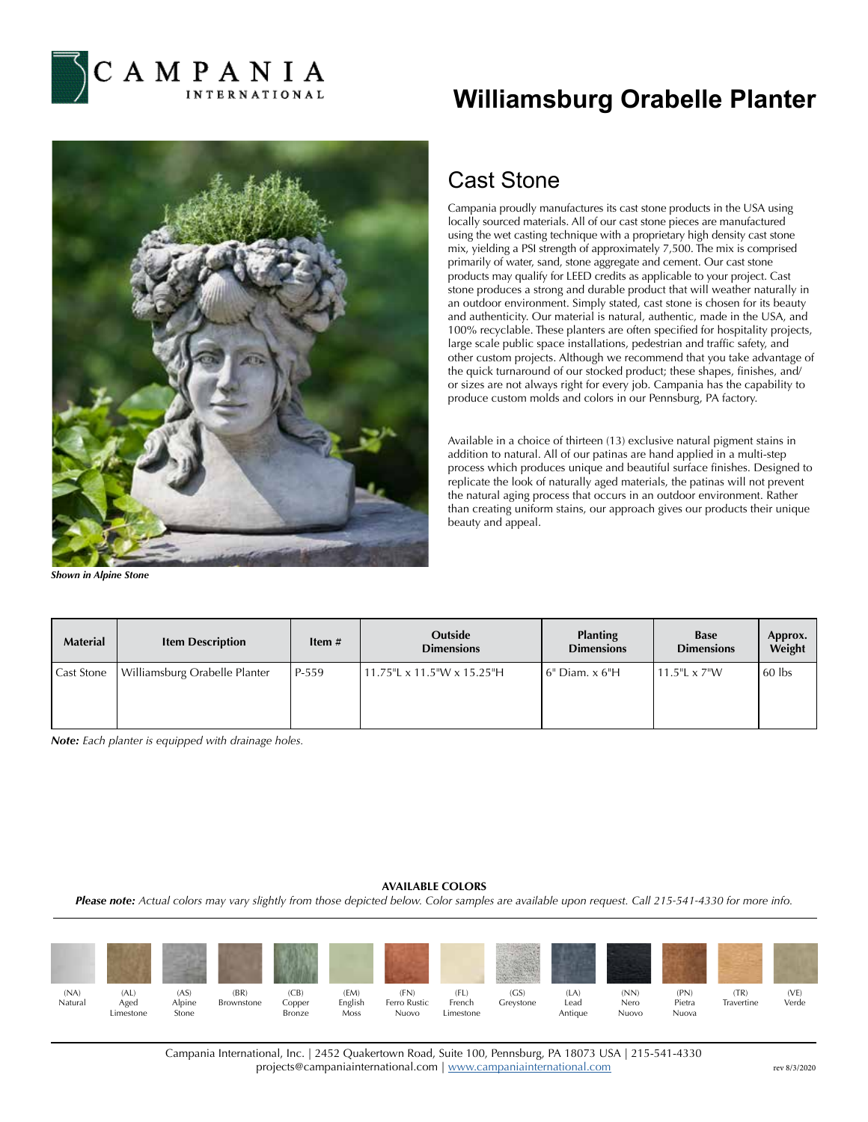

## **Williamsburg Orabelle Planter**



*Shown in Alpine Stone*

## Cast Stone

Campania proudly manufactures its cast stone products in the USA using locally sourced materials. All of our cast stone pieces are manufactured using the wet casting technique with a proprietary high density cast stone mix, yielding a PSI strength of approximately 7,500. The mix is comprised primarily of water, sand, stone aggregate and cement. Our cast stone products may qualify for LEED credits as applicable to your project. Cast stone produces a strong and durable product that will weather naturally in an outdoor environment. Simply stated, cast stone is chosen for its beauty and authenticity. Our material is natural, authentic, made in the USA, and 100% recyclable. These planters are often specified for hospitality projects, large scale public space installations, pedestrian and traffic safety, and other custom projects. Although we recommend that you take advantage of the quick turnaround of our stocked product; these shapes, finishes, and/ or sizes are not always right for every job. Campania has the capability to produce custom molds and colors in our Pennsburg, PA factory.

Available in a choice of thirteen (13) exclusive natural pigment stains in addition to natural. All of our patinas are hand applied in a multi-step process which produces unique and beautiful surface finishes. Designed to replicate the look of naturally aged materials, the patinas will not prevent the natural aging process that occurs in an outdoor environment. Rather than creating uniform stains, our approach gives our products their unique beauty and appeal.

| <b>Material</b>   | <b>Item Description</b>       | Item $#$ | Outside<br><b>Dimensions</b> | <b>Planting</b><br><b>Dimensions</b> | <b>Base</b><br><b>Dimensions</b> | Approx.<br>Weight |
|-------------------|-------------------------------|----------|------------------------------|--------------------------------------|----------------------------------|-------------------|
| <b>Cast Stone</b> | Williamsburg Orabelle Planter | P-559    | 11.75"L x 11.5"W x 15.25"H   | 6" Diam. x 6"H                       | $11.5$ "L x $7$ "W               | 60 lbs            |

*Note: Each planter is equipped with drainage holes.*

## **AVAILABLE COLORS**

*Please note: Actual colors may vary slightly from those depicted below. Color samples are available upon request. Call 215-541-4330 for more info.*